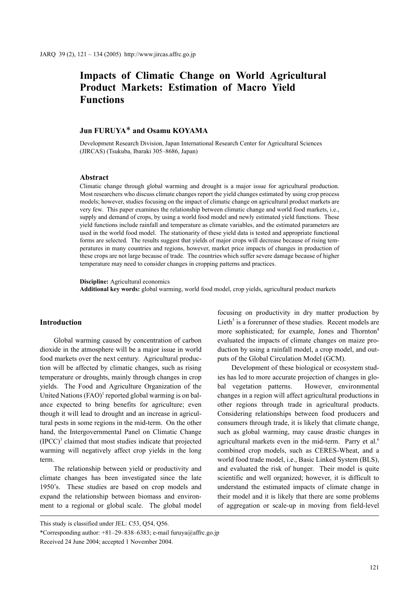# **Impacts of Climatic Change on World Agricultural Product Markets: Estimation of Macro Yield Functions**

# **Jun FURUYA**\* **and Osamu KOYAMA**

Development Research Division, Japan International Research Center for Agricultural Sciences (JIRCAS) (Tsukuba, Ibaraki 305–8686, Japan)

#### **Abstract**

Climatic change through global warming and drought is a major issue for agricultural production. Most researchers who discuss climate changes report the yield changes estimated by using crop process models; however, studies focusing on the impact of climatic change on agricultural product markets are very few. This paper examines the relationship between climatic change and world food markets, i.e., supply and demand of crops, by using a world food model and newly estimated yield functions. These yield functions include rainfall and temperature as climate variables, and the estimated parameters are used in the world food model. The stationarity of these yield data is tested and appropriate functional forms are selected. The results suggest that yields of major crops will decrease because of rising temperatures in many countries and regions, however, market price impacts of changes in production of these crops are not large because of trade. The countries which suffer severe damage because of higher temperature may need to consider changes in cropping patterns and practices.

**Discipline:** Agricultural economics **Additional key words:** global warming, world food model, crop yields, agricultural product markets

## **Introduction**

Global warming caused by concentration of carbon dioxide in the atmosphere will be a major issue in world food markets over the next century. Agricultural production will be affected by climatic changes, such as rising temperature or droughts, mainly through changes in crop yields. The Food and Agriculture Organization of the United Nations  $(FAO)^1$  reported global warming is on balance expected to bring benefits for agriculture; even though it will lead to drought and an increase in agricultural pests in some regions in the mid-term. On the other hand, the Intergovernmental Panel on Climatic Change (IPCC)<sup>3</sup> claimed that most studies indicate that projected warming will negatively affect crop yields in the long term.

The relationship between yield or productivity and climate changes has been investigated since the late 1950's. These studies are based on crop models and expand the relationship between biomass and environment to a regional or global scale. The global model

focusing on productivity in dry matter production by Lieth<sup>5</sup> is a forerunner of these studies. Recent models are more sophisticated; for example, Jones and Thornton<sup>4</sup> evaluated the impacts of climate changes on maize production by using a rainfall model, a crop model, and outputs of the Global Circulation Model (GCM).

Development of these biological or ecosystem studies has led to more accurate projection of changes in global vegetation patterns. However, environmental changes in a region will affect agricultural productions in other regions through trade in agricultural products. Considering relationships between food producers and consumers through trade, it is likely that climate change, such as global warming, may cause drastic changes in agricultural markets even in the mid-term. Parry et al.<sup>6</sup> combined crop models, such as CERES-Wheat, and a world food trade model, i.e., Basic Linked System (BLS), and evaluated the risk of hunger. Their model is quite scientific and well organized; however, it is difficult to understand the estimated impacts of climate change in their model and it is likely that there are some problems of aggregation or scale-up in moving from field-level

This study is classified under JEL: C53, Q54, Q56.

<sup>\*</sup>Corresponding author:  $+81-29-838-6383$ ; e-mail furuya@affrc.go.jp

Received 24 June 2004; accepted 1 November 2004.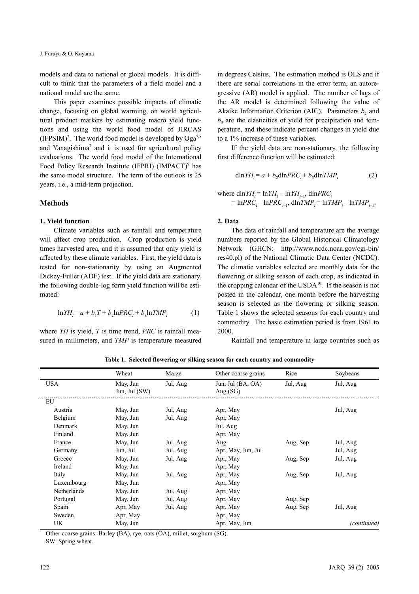models and data to national or global models. It is difficult to think that the parameters of a field model and a national model are the same.

This paper examines possible impacts of climatic change, focusing on global warming, on world agricultural product markets by estimating macro yield functions and using the world food model of JIRCAS  $(IFPSIM)^7$ . The world food model is developed by Oga<sup>7,8</sup> and Yanagishima<sup>7</sup> and it is used for agricultural policy evaluations. The world food model of the International Food Policy Research Institute (IFPRI) (IMPACT)<sup>9</sup> has the same model structure. The term of the outlook is 25 years, i.e., a mid-term projection.

#### **Methods**

## **1. Yield function**

Climate variables such as rainfall and temperature will affect crop production. Crop production is yield times harvested area, and it is assumed that only yield is affected by these climate variables. First, the yield data is tested for non-stationarity by using an Augmented Dickey-Fuller (ADF) test. If the yield data are stationary, the following double-log form yield function will be estimated:

$$
ln YH_t = a + b_1T + b_2ln PRC_t + b_3ln TMP_t
$$
 (1)

where *YH* is yield, *T* is time trend, *PRC* is rainfall measured in millimeters, and *TMP* is temperature measured in degrees Celsius. The estimation method is OLS and if there are serial correlations in the error term, an autoregressive (AR) model is applied. The number of lags of the AR model is determined following the value of Akaike Information Criterion (AIC). Parameters  $b_2$  and  $b<sub>3</sub>$  are the elasticities of yield for precipitation and temperature, and these indicate percent changes in yield due to a 1% increase of these variables.

If the yield data are non-stationary, the following first difference function will be estimated:

$$
\mathrm{d}\ln YH_t = a + b_2 \mathrm{d}\ln PRC_t + b_3 \mathrm{d}\ln TMP_t \tag{2}
$$

where 
$$
\text{dln} YH_i = \ln YH_i - \ln YH_{i-1}, \quad \text{dln} PRC_i
$$

$$
= \ln PRC_i - \ln PRC_{i-1}, \quad \text{dln} TMP_i = \ln TMP_i - \ln TMP_{i-1}.
$$

## **2. Data**

The data of rainfall and temperature are the average numbers reported by the Global Historical Climatology Network (GHCN: http://www.ncdc.noaa.gov/cgi-bin/ res40.pl) of the National Climatic Data Center (NCDC). The climatic variables selected are monthly data for the flowering or silking season of each crop, as indicated in the cropping calendar of the  $\text{USDA}^{10}$ . If the season is not posted in the calendar, one month before the harvesting season is selected as the flowering or silking season. Table 1 shows the selected seasons for each country and commodity. The basic estimation period is from 1961 to 2000.

Rainfall and temperature in large countries such as

|             | Wheat                       | Maize    | Other coarse grains             | Rice     | Soybeans    |
|-------------|-----------------------------|----------|---------------------------------|----------|-------------|
| <b>USA</b>  | May, Jun<br>Jun, Jul $(SW)$ | Jul, Aug | Jun, Jul (BA, OA)<br>Aug $(SG)$ | Jul, Aug | Jul, Aug    |
| EU          |                             |          |                                 |          |             |
| Austria     | May, Jun                    | Jul, Aug | Apr, May                        |          | Jul, Aug    |
| Belgium     | May, Jun                    | Jul, Aug | Apr, May                        |          |             |
| Denmark     | May, Jun                    |          | Jul, Aug                        |          |             |
| Finland     | May, Jun                    |          | Apr, May                        |          |             |
| France      | May, Jun                    | Jul, Aug | Aug                             | Aug, Sep | Jul, Aug    |
| Germany     | Jun, Jul                    | Jul, Aug | Apr, May, Jun, Jul              |          | Jul, Aug    |
| Greece      | May, Jun                    | Jul, Aug | Apr, May                        | Aug, Sep | Jul, Aug    |
| Ireland     | May, Jun                    |          | Apr, May                        |          |             |
| Italy       | May, Jun                    | Jul, Aug | Apr, May                        | Aug, Sep | Jul, Aug    |
| Luxembourg  | May, Jun                    |          | Apr, May                        |          |             |
| Netherlands | May, Jun                    | Jul, Aug | Apr, May                        |          |             |
| Portugal    | May, Jun                    | Jul, Aug | Apr, May                        | Aug, Sep |             |
| Spain       | Apr, May                    | Jul, Aug | Apr, May                        | Aug, Sep | Jul, Aug    |
| Sweden      | Apr, May                    |          | Apr, May                        |          |             |
| UK          | May, Jun                    |          | Apr, May, Jun                   |          | (continued) |

**Table 1. Selected flowering or silking season for each country and commodity**

Other coarse grains: Barley (BA), rye, oats (OA), millet, sorghum (SG).

SW: Spring wheat.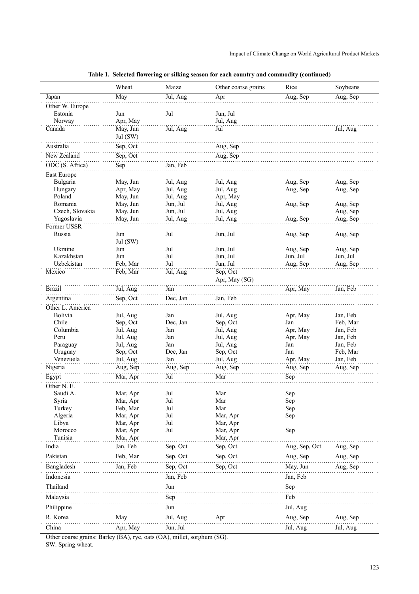# Impact of Climate Change on World Agricultural Product Markets

|                       | Wheat                | Maize                | Other coarse grains  | Rice                 | Soybeans             |
|-----------------------|----------------------|----------------------|----------------------|----------------------|----------------------|
| Japan                 | May                  | Jul, Aug             | Apr                  | Aug, Sep             | Aug, Sep             |
| Other W. Europe       |                      |                      |                      |                      |                      |
| Estonia               | Jun                  | Jul                  | Jun, Jul             |                      |                      |
| Norway                | Apr, May             |                      | Jul, Aug             |                      |                      |
| Canada                | May, Jun<br>Jul (SW) | Jul, Aug             | Jul                  |                      | Jul, Aug             |
| Australia             | Sep, Oct             |                      | Aug, Sep             |                      |                      |
| New Zealand           | Sep, Oct             |                      | Aug, Sep             |                      |                      |
| ODC (S. Africa)       | Sep                  | Jan, Feb             |                      |                      |                      |
| East Europe           |                      |                      |                      |                      |                      |
| Bulgaria              | May, Jun             | Jul, Aug             | Jul, Aug             | Aug, Sep             | Aug, Sep             |
| Hungary               | Apr, May             | Jul, Aug             | Jul, Aug             | Aug, Sep             | Aug, Sep             |
| Poland<br>Romania     | May, Jun<br>May, Jun | Jul, Aug<br>Jun, Jul | Apr, May<br>Jul, Aug | Aug, Sep             | Aug, Sep             |
| Czech, Slovakia       | May, Jun             | Jun, Jul             | Jul, Aug             |                      | Aug, Sep             |
| Yugoslavia            | May, Jun             | Jul, Aug             | Jul, Aug             | Aug, Sep             | Aug, Sep             |
| Former USSR           |                      |                      |                      |                      |                      |
| Russia                | Jun                  | Jul                  | Jun, Jul             | Aug, Sep             | Aug, Sep             |
|                       | Jul (SW)             |                      |                      |                      |                      |
| Ukraine<br>Kazakhstan | Jun<br>Jun           | Jul<br>Jul           | Jun, Jul<br>Jun, Jul | Aug, Sep             | Aug, Sep             |
| Uzbekistan            | Feb, Mar             | Jul                  | Jun, Jul             | Jun, Jul<br>Aug, Sep | Jun, Jul<br>Aug, Sep |
| Mexico                | Feb, Mar             | Jul, Aug             | Sep, Oct             |                      |                      |
|                       |                      |                      | Apr, May (SG)        |                      |                      |
| <b>Brazil</b>         | Jul, Aug             | Jan                  |                      | Apr, May             | Jan, Feb             |
| Argentina             | Sep, Oct             | Dec, Jan             | Jan, Feb             |                      |                      |
| Other L. America      |                      |                      |                      |                      |                      |
| Bolivia               | Jul, Aug             | Jan                  | Jul, Aug             | Apr, May             | Jan, Feb             |
| Chile                 | Sep, Oct             | Dec, Jan             | Sep, Oct             | Jan                  | Feb, Mar             |
| Columbia              | Jul, Aug             | Jan                  | Jul, Aug             | Apr, May             | Jan, Feb             |
| Peru                  | Jul, Aug             | Jan<br>Jan           | Jul, Aug             | Apr, May<br>Jan      | Jan, Feb             |
| Paraguay<br>Uruguay   | Jul, Aug<br>Sep, Oct | Dec, Jan             | Jul, Aug<br>Sep, Oct | Jan                  | Jan, Feb<br>Feb, Mar |
| Venezuela             | Jul, Aug             | Jan                  | Jul, Aug             | Apr, May             | Jan, Feb             |
| Nigeria               | Aug, Sep             | Aug, Sep             | Aug, Sep             | Aug, Sep             | Aug, Sep             |
| Egypt                 | Mar, Apr             | Jul                  | Mar                  | Sep                  |                      |
| Other N. E.           |                      |                      |                      |                      |                      |
| Saudi A.              | Mar, Apr             | Jul                  | Mar                  | Sep                  |                      |
| Syria                 | Mar, Apr             | Jul                  | Mar                  | Sep                  |                      |
| Turkey                | Feb, Mar             | Jul                  | Mar                  | ${\rm Sep}$          |                      |
| Algeria               | Mar, Apr             | Jul                  | Mar, Apr             | Sep                  |                      |
| Libya<br>Morocco      | Mar, Apr<br>Mar, Apr | Jul<br>Jul           | Mar, Apr<br>Mar, Apr | Sep                  |                      |
| Tunisia               | Mar, Apr             |                      | Mar, Apr             |                      |                      |
| India                 | Jan, Feb             | Sep, Oct             | Sep, Oct             | Aug, Sep, Oct        | Aug, Sep             |
| Pakistan              | Feb, Mar             | Sep, Oct             | Sep, Oct             | Aug, Sep             | Aug, Sep             |
| Bangladesh            | Jan, Feb             | Sep, Oct             | Sep, Oct             | May, Jun             | Aug, Sep             |
| Indonesia             |                      | Jan, Feb             |                      | Jan, Feb             |                      |
| Thailand              |                      | Jun                  |                      | Sep                  |                      |
| Malaysia              |                      | Sep                  |                      | Feb                  |                      |
| Philippine            |                      | Jun                  |                      | Jul, Aug             |                      |
|                       |                      |                      |                      |                      |                      |
| R. Korea              | May                  | Jul, Aug             | Apr                  | Aug, Sep             | Aug, Sep             |
| China                 | Apr, May             | Jun, Jul             |                      | Jul, Aug             | Jul, Aug             |

| Table 1. Selected flowering or silking season for each country and commodity (continued) |  |  |
|------------------------------------------------------------------------------------------|--|--|

Other coarse grains: Barley (BA), rye, oats (OA), millet, sorghum (SG). SW: Spring wheat.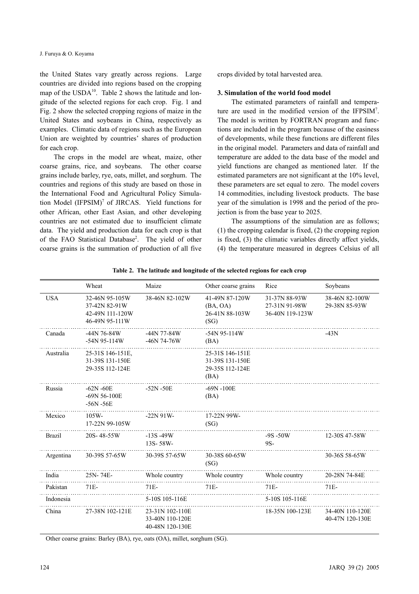the United States vary greatly across regions. Large countries are divided into regions based on the cropping map of the  $USDA<sup>10</sup>$ . Table 2 shows the latitude and longitude of the selected regions for each crop. Fig. 1 and Fig. 2 show the selected cropping regions of maize in the United States and soybeans in China, respectively as examples. Climatic data of regions such as the European Union are weighted by countries' shares of production for each crop.

The crops in the model are wheat, maize, other coarse grains, rice, and soybeans. The other coarse grains include barley, rye, oats, millet, and sorghum. The countries and regions of this study are based on those in the International Food and Agricultural Policy Simulation Model (IFPSIM)<sup>7</sup> of JIRCAS. Yield functions for other African, other East Asian, and other developing countries are not estimated due to insufficient climate data. The yield and production data for each crop is that of the FAO Statistical Database<sup>2</sup>. The yield of other coarse grains is the summation of production of all five crops divided by total harvested area.

#### **3. Simulation of the world food model**

The estimated parameters of rainfall and temperature are used in the modified version of the IFPSIM7 . The model is written by FORTRAN program and functions are included in the program because of the easiness of developments, while these functions are different files in the original model. Parameters and data of rainfall and temperature are added to the data base of the model and yield functions are changed as mentioned later. If the estimated parameters are not significant at the 10% level, these parameters are set equal to zero. The model covers 14 commodities, including livestock products. The base year of the simulation is 1998 and the period of the projection is from the base year to 2025.

The assumptions of the simulation are as follows; (1) the cropping calendar is fixed, (2) the cropping region is fixed, (3) the climatic variables directly affect yields, (4) the temperature measured in degrees Celsius of all

|               | Wheat                                                                | Maize                                                 | Other coarse grains                                           | Rice                                              | Soybeans                           |
|---------------|----------------------------------------------------------------------|-------------------------------------------------------|---------------------------------------------------------------|---------------------------------------------------|------------------------------------|
| <b>USA</b>    | 32-46N 95-105W<br>37-42N 82-91W<br>42-49N 111-120W<br>46-49N 95-111W | 38-46N 82-102W                                        | 41-49N 87-120W<br>(BA, OA)<br>26-41N 88-103W<br>(SG)          | 31-37N 88-93W<br>27-31N 91-98W<br>36-40N 119-123W | 38-46N 82-100W<br>29-38N 85-93W    |
| Canada        | $-44N$ 76-84W<br>-54N 95-114W                                        | $-44N$ 77-84W<br>$-46N$ 74-76W                        | $-54N$ 95-114W<br>(BA)                                        |                                                   | $-43N$                             |
| Australia     | 25-31S 146-151E.<br>31-39S 131-150E<br>29-35S 112-124E               |                                                       | 25-31S 146-151E<br>31-39S 131-150E<br>29-35S 112-124E<br>(BA) |                                                   |                                    |
| Russia        | $-62N - 60E$<br>$-69N56-100E$<br>$-56N - 56E$                        | $-52N - 50E$                                          | $-69N - 100E$<br>(BA)                                         |                                                   |                                    |
| Mexico        | $105W -$<br>17-22N 99-105W                                           | $-22N91W$                                             | 17-22N 99W-<br>(SG)                                           |                                                   |                                    |
| <b>Brazil</b> | 20S-48-55W                                                           | $-13S - 49W$<br>13S-58W-                              |                                                               | $-9S - 50W$<br>9S-                                | 12-30S 47-58W                      |
| Argentina     | 30-39S 57-65W                                                        | 30-39S 57-65W                                         | 30-38S 60-65W<br>(SG)                                         |                                                   | 30-36S 58-65W                      |
| India         | 25N-74E-                                                             | Whole country                                         | Whole country                                                 | Whole country                                     | 20-28N 74-84E                      |
| Pakistan      | $71E-$                                                               | $71E-$                                                | $71E-$                                                        | $71E-$                                            | $71E-$                             |
| Indonesia     |                                                                      | 5-10S 105-116E                                        |                                                               | 5-10S 105-116E                                    |                                    |
| China         | 27-38N 102-121E                                                      | 23-31N 102-110E<br>33-40N 110-120E<br>40-48N 120-130E |                                                               | 18-35N 100-123E                                   | 34-40N 110-120E<br>40-47N 120-130E |

**Table 2. The latitude and longitude of the selected regions for each crop**

Other coarse grains: Barley (BA), rye, oats (OA), millet, sorghum (SG).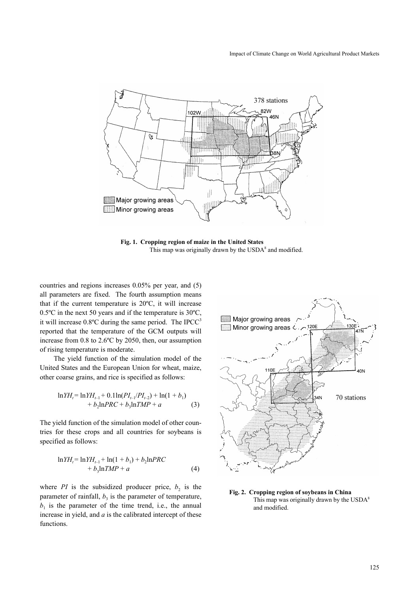## Impact of Climate Change on World Agricultural Product Markets



**Fig. 1. Cropping region of maize in the United States** This map was originally drawn by the USDA<sup>8</sup> and modified.

countries and regions increases 0.05% per year, and (5) all parameters are fixed. The fourth assumption means that if the current temperature is 20ºC, it will increase 0.5ºC in the next 50 years and if the temperature is 30ºC, it will increase  $0.8^{\circ}$ C during the same period. The IPCC<sup>3</sup> reported that the temperature of the GCM outputs will increase from 0.8 to 2.6ºC by 2050, then, our assumption of rising temperature is moderate.

The yield function of the simulation model of the United States and the European Union for wheat, maize, other coarse grains, and rice is specified as follows:

$$
\ln YH_{t} = \ln YH_{t-1} + 0.1\ln(PI_{t-1}/PI_{t-2}) + \ln(1+b_{1})
$$
  
+  $b_{2}\ln PRC + b_{3}\ln TMP + a$  (3)

The yield function of the simulation model of other countries for these crops and all countries for soybeans is specified as follows:

$$
\ln YH_{t} = \ln YH_{t-1} + \ln(1 + b_{1}) + b_{2}\ln PRC + b_{3}\ln TMP + a
$$
 (4)

where *PI* is the subsidized producer price,  $b_2$  is the parameter of rainfall,  $b_3$  is the parameter of temperature,  $b_1$  is the parameter of the time trend, i.e., the annual increase in yield, and *a* is the calibrated intercept of these functions.



**Fig. 2. Cropping region of soybeans in China** This map was originally drawn by the USDA<sup>8</sup> and modified.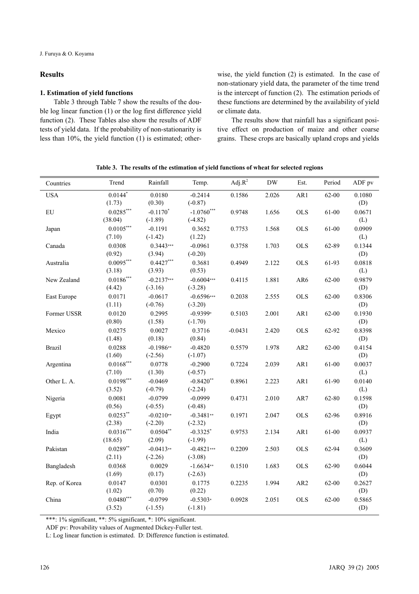# **Results**

#### **1. Estimation of yield functions**

Table 3 through Table 7 show the results of the double log linear function (1) or the log first difference yield function (2). These Tables also show the results of ADF tests of yield data. If the probability of non-stationarity is less than 10%, the yield function (1) is estimated; otherwise, the yield function (2) is estimated. In the case of non-stationary yield data, the parameter of the time trend is the intercept of function (2). The estimation periods of these functions are determined by the availability of yield or climate data.

The results show that rainfall has a significant positive effect on production of maize and other coarse grains. These crops are basically upland crops and yields

|  | Table 3. The results of the estimation of yield functions of wheat for selected regions |  |  |  |
|--|-----------------------------------------------------------------------------------------|--|--|--|
|  |                                                                                         |  |  |  |

| Countries     | Trend                      | Rainfall                  | Temp.                     | Adj. $R^2$ | ${\rm DW}$ | Est.            | Period    | ADF pv        |
|---------------|----------------------------|---------------------------|---------------------------|------------|------------|-----------------|-----------|---------------|
| <b>USA</b>    | $0.0144*$<br>(1.73)        | 0.0180<br>(0.30)          | $-0.2414$<br>$(-0.87)$    | 0.1586     | 2.026      | AR1             | $62 - 00$ | 0.1080<br>(D) |
| ${\rm EU}$    | $0.0285***$<br>(38.04)     | $-0.1170*$<br>$(-1.89)$   | $-1.0760***$<br>$(-4.82)$ | 0.9748     | 1.656      | <b>OLS</b>      | 61-00     | 0.0671<br>(L) |
| Japan         | $0.0105***$<br>(7.10)      | $-0.1191$<br>$(-1.42)$    | 0.3652<br>(1.22)          | 0.7753     | 1.568      | <b>OLS</b>      | 61-00     | 0.0909<br>(L) |
| Canada        | 0.0308<br>(0.92)           | $0.3443***$<br>(3.94)     | $-0.0961$<br>$(-0.20)$    | 0.3758     | 1.703      | <b>OLS</b>      | 62-89     | 0.1344<br>(D) |
| Australia     | $0.0095***$<br>(3.18)      | $0.4427***$<br>(3.93)     | 0.3681<br>(0.53)          | 0.4949     | 2.122      | <b>OLS</b>      | 61-93     | 0.0818<br>(L) |
| New Zealand   | $0.0186^{***}\,$<br>(4.42) | $-0.2137***$<br>$(-3.16)$ | $-0.6004***$<br>$(-3.28)$ | 0.4115     | 1.881      | AR6             | $62 - 00$ | 0.9879<br>(D) |
| East Europe   | 0.0171<br>(1.11)           | $-0.0617$<br>$(-0.76)$    | $-0.6596***$<br>$(-3.20)$ | 0.2038     | 2.555      | <b>OLS</b>      | 62-00     | 0.8306<br>(D) |
| Former USSR   | 0.0120<br>(0.80)           | 0.2995<br>(1.58)          | $-0.9399*$<br>$(-1.70)$   | 0.5103     | 2.001      | AR1             | 62-00     | 0.1930<br>(D) |
| Mexico        | 0.0275<br>(1.48)           | 0.0027<br>(0.18)          | 0.3716<br>(0.84)          | $-0.0431$  | 2.420      | <b>OLS</b>      | 62-92     | 0.8398<br>(D) |
| <b>Brazil</b> | 0.0288<br>(1.60)           | $-0.1986**$<br>$(-2.56)$  | $-0.4820$<br>$(-1.07)$    | 0.5579     | 1.978      | AR <sub>2</sub> | 62-00     | 0.4154<br>(D) |
| Argentina     | $0.0168***$<br>(7.10)      | 0.0778<br>(1.30)          | $-0.2900$<br>$(-0.57)$    | 0.7224     | 2.039      | AR1             | 61-00     | 0.0037<br>(L) |
| Other L. A.   | $0.0198***$<br>(3.52)      | $-0.0469$<br>$(-0.79)$    | $-0.8420**$<br>$(-2.24)$  | 0.8961     | 2.223      | AR1             | 61-90     | 0.0140<br>(L) |
| Nigeria       | 0.0081<br>(0.56)           | $-0.0799$<br>$(-0.55)$    | $-0.0999$<br>$(-0.48)$    | 0.4731     | 2.010      | AR7             | 62-80     | 0.1598<br>(D) |
| Egypt         | $0.0253**$<br>(2.38)       | $-0.0210**$<br>$(-2.20)$  | $-0.3481**$<br>$(-2.32)$  | 0.1971     | 2.047      | <b>OLS</b>      | 62-96     | 0.8916<br>(D) |
| India         | $0.0316***$<br>(18.65)     | $0.0504**$<br>(2.09)      | $-0.3325$ *<br>$(-1.99)$  | 0.9753     | 2.134      | AR1             | 61-00     | 0.0937<br>(L) |
| Pakistan      | $0.0289**$<br>(2.11)       | $-0.0413**$<br>$(-2.26)$  | $-0.4821***$<br>$(-3.08)$ | 0.2209     | 2.503      | <b>OLS</b>      | 62-94     | 0.3609<br>(D) |
| Bangladesh    | 0.0368<br>(1.69)           | 0.0029<br>(0.17)          | $-1.6634**$<br>$(-2.63)$  | 0.1510     | 1.683      | <b>OLS</b>      | 62-90     | 0.6044<br>(D) |
| Rep. of Korea | 0.0147<br>(1.02)           | 0.0301<br>(0.70)          | 0.1775<br>(0.22)          | 0.2235     | 1.994      | AR <sub>2</sub> | 62-00     | 0.2627<br>(D) |
| China         | $0.0480***$<br>(3.52)      | $-0.0799$<br>$(-1.55)$    | $-0.5303*$<br>$(-1.81)$   | 0.0928     | 2.051      | <b>OLS</b>      | 62-00     | 0.5865<br>(D) |

\*\*\*: 1% significant, \*\*: 5% significant, \*: 10% significant.

ADF pv: Provability values of Augmented Dickey-Fuller test.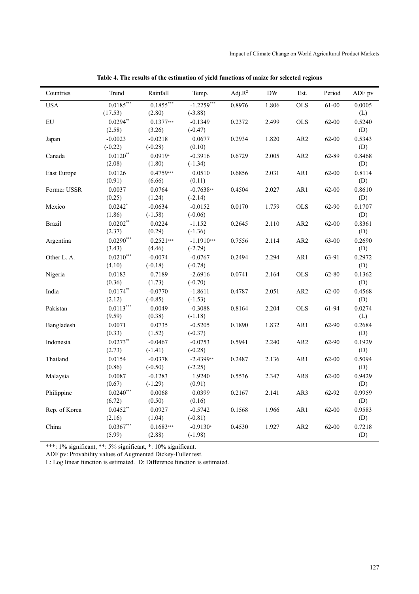| Countries     | Trend                 | Rainfall         | Temp.                  | Adj. $R^2$ | $\operatorname{DW}$ | Est.            | Period    | ADF pv        |
|---------------|-----------------------|------------------|------------------------|------------|---------------------|-----------------|-----------|---------------|
| <b>USA</b>    | $0.0185***$           | $0.1855***$      | $-1.2259***$           | 0.8976     | 1.806               | <b>OLS</b>      | 61-00     | 0.0005        |
|               | (17.53)               | (2.80)           | $(-3.88)$              |            |                     |                 |           | (L)           |
| ${\rm EU}$    | $0.0294**$            | $0.1377***$      | $-0.1349$              | 0.2372     | 2.499               | <b>OLS</b>      | 62-00     | 0.5240        |
|               | (2.58)                | (3.26)           | $(-0.47)$              |            |                     |                 |           | (D)           |
| Japan         | $-0.0023$             | $-0.0218$        | 0.0677                 | 0.2934     | 1.820               | AR <sub>2</sub> | $62 - 00$ | 0.5343        |
|               | $(-0.22)$             | $(-0.28)$        | (0.10)                 |            |                     |                 |           | (D)           |
| Canada        | $0.0120**$            | $0.0919*$        | $-0.3916$              | 0.6729     | 2.005               | AR <sub>2</sub> | 62-89     | 0.8468        |
|               | (2.08)                | (1.80)           | $(-1.34)$              |            |                     |                 |           | (D)           |
| East Europe   | 0.0126                | $0.4759***$      | 0.0510                 | 0.6856     | 2.031               | AR1             | 62-00     | 0.8114        |
|               | (0.91)                | (6.66)           | (0.11)                 |            |                     |                 |           | (D)           |
| Former USSR   | 0.0037                | 0.0764           | $-0.7638**$            | 0.4504     | 2.027               | AR1             | $62 - 00$ | 0.8610        |
|               | (0.25)                | (1.24)           | $(-2.14)$              |            |                     |                 |           | (D)           |
| Mexico        | $0.0242$ <sup>*</sup> | $-0.0634$        | $-0.0152$              | 0.0170     | 1.759               | <b>OLS</b>      | 62-90     | 0.1707        |
|               | (1.86)                | $(-1.58)$        | $(-0.06)$              |            |                     |                 |           | (D)           |
| <b>Brazil</b> | $0.0202**$            | 0.0224           | $-1.152$               | 0.2645     | 2.110               | AR <sub>2</sub> | $62 - 00$ | 0.8361        |
|               | (2.37)                | (0.29)           | $(-1.36)$              |            |                     |                 |           | (D)           |
| Argentina     | $0.0290***$           | $0.2521***$      | $-1.1910***$           | 0.7556     | 2.114               | AR <sub>2</sub> | 63-00     | 0.2690        |
|               | (3.43)                | (4.46)           | $(-2.79)$              |            |                     |                 |           | (D)           |
| Other L. A.   | $0.0210***$           | $-0.0074$        | $-0.0767$              | 0.2494     | 2.294               | AR1             | 63-91     | 0.2972        |
|               | (4.10)                | $(-0.18)$        | $(-0.78)$              |            |                     |                 |           | (D)           |
| Nigeria       | 0.0183                | 0.7189           | $-2.6916$              | 0.0741     | 2.164               | <b>OLS</b>      | 62-80     | 0.1362        |
|               | (0.36)                | (1.73)           | $(-0.70)$              |            |                     |                 |           | (D)           |
| India         | $0.0174***$           | $-0.0770$        | $-1.8611$              | 0.4787     | 2.051               | AR <sub>2</sub> | 62-00     | 0.4568        |
|               | (2.12)                | $(-0.85)$        | $(-1.53)$              |            |                     |                 |           | (D)           |
| Pakistan      | $0.0113***$           | 0.0049           | $-0.3088$              | 0.8164     | 2.204               | <b>OLS</b>      | 61-94     | 0.0274        |
|               | (9.59)                | (0.38)<br>0.0735 | $(-1.18)$              |            |                     |                 |           | (L)<br>0.2684 |
| Bangladesh    | 0.0071<br>(0.33)      | (1.52)           | $-0.5205$<br>$(-0.37)$ | 0.1890     | 1.832               | AR1             | 62-90     | (D)           |
| Indonesia     | $0.0273**$            | $-0.0467$        | $-0.0753$              | 0.5941     | 2.240               | AR <sub>2</sub> | 62-90     | 0.1929        |
|               | (2.73)                | $(-1.41)$        | $(-0.28)$              |            |                     |                 |           | (D)           |
| Thailand      | 0.0154                | $-0.0378$        | $-2.4399**$            | 0.2487     | 2.136               | AR1             | 62-00     | 0.5094        |
|               | (0.86)                | $(-0.50)$        | $(-2.25)$              |            |                     |                 |           | (D)           |
| Malaysia      | 0.0087                | $-0.1283$        | 1.9240                 | 0.5536     | 2.347               | AR8             | 62-00     | 0.9429        |
|               | (0.67)                | $(-1.29)$        | (0.91)                 |            |                     |                 |           | (D)           |
| Philippine    | $0.0240***$           | 0.0068           | 0.0399                 | 0.2167     | 2.141               | AR3             | 62-92     | 0.9959        |
|               | (6.72)                | (0.50)           | (0.16)                 |            |                     |                 |           | (D)           |
| Rep. of Korea | $0.0452**$            | 0.0927           | $-0.5742$              | 0.1568     | 1.966               | AR1             | $62 - 00$ | 0.9583        |
|               | (2.16)                | (1.04)           | $(-0.81)$              |            |                     |                 |           | (D)           |
| China         | $0.0367***$           | $0.1683***$      | $-0.9130*$             | 0.4530     | 1.927               | AR <sub>2</sub> | 62-00     | 0.7218        |
|               | (5.99)                | (2.88)           | $(-1.98)$              |            |                     |                 |           | (D)           |
|               |                       |                  |                        |            |                     |                 |           |               |

**Table 4. The results of the estimation of yield functions of maize for selected regions**

ADF pv: Provability values of Augmented Dickey-Fuller test.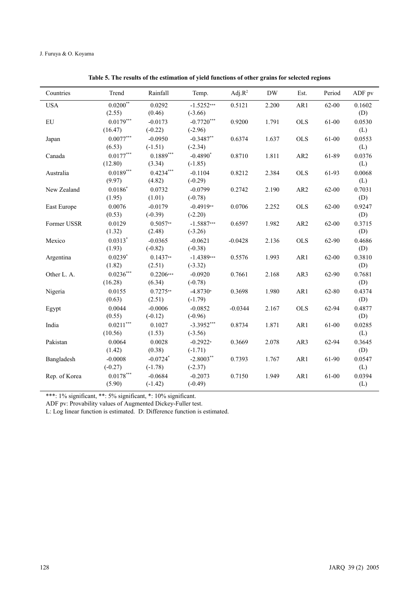| Countries     | Trend                  | Rainfall                | Temp.                     | Adj. $R^2$ | $\rm{DW}$ | Est.            | Period    | ADF pv        |
|---------------|------------------------|-------------------------|---------------------------|------------|-----------|-----------------|-----------|---------------|
| <b>USA</b>    | $0.0200***$<br>(2.55)  | 0.0292<br>(0.46)        | $-1.5252***$<br>$(-3.66)$ | 0.5121     | 2.200     | AR1             | 62-00     | 0.1602<br>(D) |
| ${\rm EU}$    | $0.0179***$<br>(16.47) | $-0.0173$<br>$(-0.22)$  | $-0.7720***$<br>$(-2.96)$ | 0.9200     | 1.791     | <b>OLS</b>      | 61-00     | 0.0530<br>(L) |
| Japan         | $0.0077***$<br>(6.53)  | $-0.0950$<br>$(-1.51)$  | $-0.3487**$<br>$(-2.34)$  | 0.6374     | 1.637     | <b>OLS</b>      | 61-00     | 0.0553<br>(L) |
| Canada        | $0.0177***$<br>(12.80) | $0.1889***$<br>(3.34)   | $-0.4890*$<br>$(-1.85)$   | 0.8710     | 1.811     | AR <sub>2</sub> | 61-89     | 0.0376<br>(L) |
| Australia     | $0.0189***$<br>(9.97)  | $0.4234***$<br>(4.82)   | $-0.1104$<br>$(-0.29)$    | 0.8212     | 2.384     | <b>OLS</b>      | 61-93     | 0.0068<br>(L) |
| New Zealand   | $0.0186*$<br>(1.95)    | 0.0732<br>(1.01)        | $-0.0799$<br>$(-0.78)$    | 0.2742     | 2.190     | AR <sub>2</sub> | $62 - 00$ | 0.7031<br>(D) |
| East Europe   | 0.0076<br>(0.53)       | $-0.0179$<br>$(-0.39)$  | $-0.4919**$<br>$(-2.20)$  | 0.0706     | 2.252     | <b>OLS</b>      | $62 - 00$ | 0.9247<br>(D) |
| Former USSR   | 0.0129<br>(1.32)       | $0.5057**$<br>(2.48)    | $-1.5887***$<br>$(-3.26)$ | 0.6597     | 1.982     | AR <sub>2</sub> | $62 - 00$ | 0.3715<br>(D) |
| Mexico        | $0.0313*$<br>(1.93)    | $-0.0365$<br>$(-0.82)$  | $-0.0621$<br>$(-0.38)$    | $-0.0428$  | 2.136     | <b>OLS</b>      | 62-90     | 0.4686<br>(D) |
| Argentina     | $0.0239*$<br>(1.82)    | $0.1437**$<br>(2.51)    | $-1.4389***$<br>$(-3.32)$ | 0.5576     | 1.993     | AR1             | 62-00     | 0.3810<br>(D) |
| Other L. A.   | $0.0236***$<br>(16.28) | $0.2206***$<br>(6.34)   | $-0.0920$<br>$(-0.78)$    | 0.7661     | 2.168     | AR3             | 62-90     | 0.7681<br>(D) |
| Nigeria       | 0.0155<br>(0.63)       | $0.7275**$<br>(2.51)    | $-4.8730*$<br>$(-1.79)$   | 0.3698     | 1.980     | AR1             | 62-80     | 0.4374<br>(D) |
| Egypt         | 0.0044<br>(0.55)       | $-0.0006$<br>$(-0.12)$  | $-0.0852$<br>$(-0.96)$    | $-0.0344$  | 2.167     | <b>OLS</b>      | 62-94     | 0.4877<br>(D) |
| India         | $0.0211***$<br>(10.56) | 0.1027<br>(1.53)        | $-3.3952***$<br>$(-3.56)$ | 0.8734     | 1.871     | AR1             | 61-00     | 0.0285<br>(L) |
| Pakistan      | 0.0064<br>(1.42)       | 0.0028<br>(0.38)        | $-0.2922*$<br>$(-1.71)$   | 0.3669     | 2.078     | AR3             | 62-94     | 0.3645<br>(D) |
| Bangladesh    | $-0.0008$<br>$(-0.27)$ | $-0.0724*$<br>$(-1.78)$ | $-2.8003**$<br>$(-2.37)$  | 0.7393     | 1.767     | AR1             | 61-90     | 0.0547<br>(L) |
| Rep. of Korea | $0.0178***$<br>(5.90)  | $-0.0684$<br>$(-1.42)$  | $-0.2073$<br>$(-0.49)$    | 0.7150     | 1.949     | AR1             | 61-00     | 0.0394<br>(L) |

**Table 5. The results of the estimation of yield functions of other grains for selected regions**

ADF pv: Provability values of Augmented Dickey-Fuller test.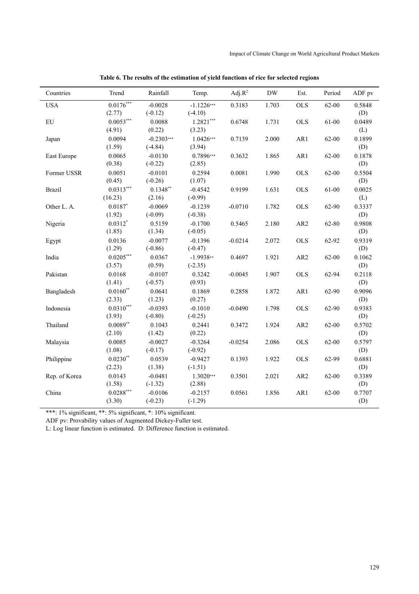| Countries     | Trend                             | Rainfall                  | Temp.                     | Adj. $R^2$ | <b>DW</b> | Est.            | Period | ADF pv        |
|---------------|-----------------------------------|---------------------------|---------------------------|------------|-----------|-----------------|--------|---------------|
| <b>USA</b>    | $0.0176***$<br>(2.77)             | $-0.0028$<br>$(-0.12)$    | $-1.1226***$<br>$(-4.10)$ | 0.3183     | 1.703     | <b>OLS</b>      | 62-00  | 0.5848<br>(D) |
| EU            | $0.0053***$<br>(4.91)             | 0.0088<br>(0.22)          | $1.2821***$<br>(3.23)     | 0.6748     | 1.731     | <b>OLS</b>      | 61-00  | 0.0489<br>(L) |
| Japan         | 0.0094<br>(1.59)                  | $-0.2303***$<br>$(-4.84)$ | $1.0426***$<br>(3.94)     | 0.7139     | 2.000     | AR1             | 62-00  | 0.1899<br>(D) |
| East Europe   | 0.0065<br>(0.38)                  | $-0.0130$<br>$(-0.22)$    | 0.7896***<br>(2.85)       | 0.3632     | 1.865     | AR1             | 62-00  | 0.1878<br>(D) |
| Former USSR   | 0.0051<br>(0.45)                  | $-0.0101$<br>$(-0.26)$    | 0.2594<br>(1.07)          | 0.0081     | 1.990     | <b>OLS</b>      | 62-00  | 0.5504<br>(D) |
| <b>Brazil</b> | $0.0313***$<br>(16.23)            | $0.1348***$<br>(2.16)     | $-0.4542$<br>$(-0.99)$    | 0.9199     | 1.631     | <b>OLS</b>      | 61-00  | 0.0025<br>(L) |
| Other L. A.   | $0.0187$ *<br>(1.92)              | $-0.0069$<br>$(-0.09)$    | $-0.1239$<br>$(-0.38)$    | $-0.0710$  | 1.782     | <b>OLS</b>      | 62-90  | 0.3337<br>(D) |
| Nigeria       | $0.0312*$<br>(1.85)               | 0.5159<br>(1.34)          | $-0.1700$<br>$(-0.05)$    | 0.5465     | 2.180     | AR <sub>2</sub> | 62-80  | 0.9808<br>(D) |
| Egypt         | 0.0136<br>(1.29)                  | $-0.0077$<br>$(-0.86)$    | $-0.1396$<br>$(-0.47)$    | $-0.0214$  | 2.072     | <b>OLS</b>      | 62-92  | 0.9319<br>(D) |
| India         | $0.0205***$<br>(3.57)             | 0.0367<br>(0.59)          | $-1.9938**$<br>$(-2.35)$  | 0.4697     | 1.921     | AR <sub>2</sub> | 62-00  | 0.1062<br>(D) |
| Pakistan      | 0.0168<br>(1.41)                  | $-0.0107$<br>$(-0.57)$    | 0.3242<br>(0.93)          | $-0.0045$  | 1.907     | <b>OLS</b>      | 62-94  | 0.2118<br>(D) |
| Bangladesh    | $0.0160**$<br>(2.33)              | 0.0641<br>(1.23)          | 0.1869<br>(0.27)          | 0.2858     | 1.872     | AR1             | 62-90  | 0.9096<br>(D) |
| Indonesia     | $0.0310***$<br>(3.93)             | $-0.0393$<br>$(-0.80)$    | $-0.1010$<br>$(-0.25)$    | $-0.0490$  | 1.798     | <b>OLS</b>      | 62-90  | 0.9383<br>(D) |
| Thailand      | $0.0089**$<br>(2.10)              | 0.1043<br>(1.42)          | 0.2441<br>(0.22)          | 0.3472     | 1.924     | AR <sub>2</sub> | 62-00  | 0.5702<br>(D) |
| Malaysia      | 0.0085<br>(1.08)                  | $-0.0027$<br>$(-0.17)$    | $-0.3264$<br>$(-0.92)$    | $-0.0254$  | 2.086     | <b>OLS</b>      | 62-00  | 0.5797<br>(D) |
| Philippine    | $0.0230**$<br>(2.23)              | 0.0539<br>(1.38)          | $-0.9427$<br>$(-1.51)$    | 0.1393     | 1.922     | <b>OLS</b>      | 62-99  | 0.6881<br>(D) |
| Rep. of Korea | 0.0143<br>(1.58)                  | $-0.0481$<br>$(-1.32)$    | $1.3020***$<br>(2.88)     | 0.3501     | 2.021     | AR <sub>2</sub> | 62-00  | 0.3389<br>(D) |
| China         | $0.0288^{\ast\ast\ast}$<br>(3.30) | $-0.0106$<br>$(-0.23)$    | $-0.2157$<br>$(-1.29)$    | 0.0561     | 1.856     | AR1             | 62-00  | 0.7707<br>(D) |

**Table 6. The results of the estimation of yield functions of rice for selected regions**

ADF pv: Provability values of Augmented Dickey-Fuller test.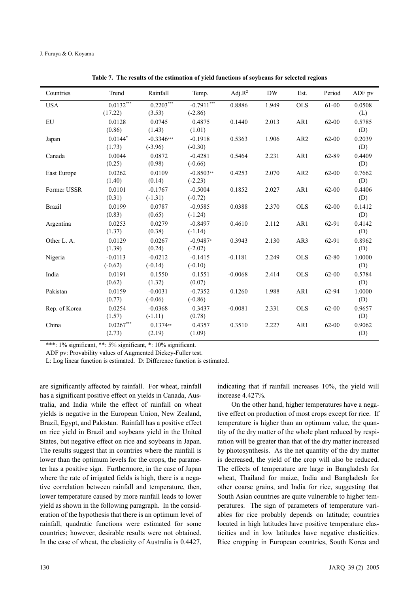| Countries     | Trend                  | Rainfall                  | Temp.                     | $Adj.R^2$ | <b>DW</b> | Est.            | Period    | ADF pv        |
|---------------|------------------------|---------------------------|---------------------------|-----------|-----------|-----------------|-----------|---------------|
| <b>USA</b>    | $0.0132***$<br>(17.22) | $0.2203***$<br>(3.53)     | $-0.7911***$<br>$(-2.86)$ | 0.8886    | 1.949     | <b>OLS</b>      | 61-00     | 0.0508<br>(L) |
| EU            | 0.0128<br>(0.86)       | 0.0745<br>(1.43)          | 0.4875<br>(1.01)          | 0.1440    | 2.013     | AR1             | 62-00     | 0.5785<br>(D) |
| Japan         | $0.0144*$<br>(1.73)    | $-0.3346***$<br>$(-3.96)$ | $-0.1918$<br>$(-0.30)$    | 0.5363    | 1.906     | AR <sub>2</sub> | $62 - 00$ | 0.2039<br>(D) |
| Canada        | 0.0044<br>(0.25)       | 0.0872<br>(0.98)          | $-0.4281$<br>$(-0.66)$    | 0.5464    | 2.231     | AR1             | 62-89     | 0.4409<br>(D) |
| East Europe   | 0.0262<br>(1.40)       | 0.0109<br>(0.14)          | $-0.8503**$<br>$(-2.23)$  | 0.4253    | 2.070     | AR <sub>2</sub> | 62-00     | 0.7662<br>(D) |
| Former USSR   | 0.0101<br>(0.31)       | $-0.1767$<br>$(-1.31)$    | $-0.5004$<br>$(-0.72)$    | 0.1852    | 2.027     | AR1             | 62-00     | 0.4406<br>(D) |
| <b>Brazil</b> | 0.0199<br>(0.83)       | 0.0787<br>(0.65)          | $-0.9585$<br>$(-1.24)$    | 0.0388    | 2.370     | <b>OLS</b>      | 62-00     | 0.1412<br>(D) |
| Argentina     | 0.0253<br>(1.37)       | 0.0279<br>(0.38)          | $-0.8497$<br>$(-1.14)$    | 0.4610    | 2.112     | AR1             | 62-91     | 0.4142<br>(D) |
| Other L. A.   | 0.0129<br>(1.39)       | 0.0267<br>(0.24)          | $-0.9487*$<br>$(-2.02)$   | 0.3943    | 2.130     | AR3             | 62-91     | 0.8962<br>(D) |
| Nigeria       | $-0.0113$<br>$(-0.62)$ | $-0.0212$<br>$(-0.14)$    | $-0.1415$<br>$(-0.10)$    | $-0.1181$ | 2.249     | <b>OLS</b>      | 62-80     | 1.0000<br>(D) |
| India         | 0.0191<br>(0.62)       | 0.1550<br>(1.32)          | 0.1551<br>(0.07)          | $-0.0068$ | 2.414     | <b>OLS</b>      | $62 - 00$ | 0.5784<br>(D) |
| Pakistan      | 0.0159<br>(0.77)       | $-0.0031$<br>$(-0.06)$    | $-0.7352$<br>$(-0.86)$    | 0.1260    | 1.988     | AR1             | 62-94     | 1.0000<br>(D) |
| Rep. of Korea | 0.0254<br>(1.57)       | $-0.0368$<br>$(-1.11)$    | 0.3437<br>(0.78)          | $-0.0081$ | 2.331     | <b>OLS</b>      | 62-00     | 0.9657<br>(D) |
| China         | $0.0267***$<br>(2.73)  | $0.1374**$<br>(2.19)      | 0.4357<br>(1.09)          | 0.3510    | 2.227     | AR1             | 62-00     | 0.9062<br>(D) |

**Table 7. The results of the estimation of yield functions of soybeans for selected regions**

ADF pv: Provability values of Augmented Dickey-Fuller test.

L: Log linear function is estimated. D: Difference function is estimated.

are significantly affected by rainfall. For wheat, rainfall has a significant positive effect on yields in Canada, Australia, and India while the effect of rainfall on wheat yields is negative in the European Union, New Zealand, Brazil, Egypt, and Pakistan. Rainfall has a positive effect on rice yield in Brazil and soybeans yield in the United States, but negative effect on rice and soybeans in Japan. The results suggest that in countries where the rainfall is lower than the optimum levels for the crops, the parameter has a positive sign. Furthermore, in the case of Japan where the rate of irrigated fields is high, there is a negative correlation between rainfall and temperature, then, lower temperature caused by more rainfall leads to lower yield as shown in the following paragraph. In the consideration of the hypothesis that there is an optimum level of rainfall, quadratic functions were estimated for some countries; however, desirable results were not obtained. In the case of wheat, the elasticity of Australia is 0.4427, indicating that if rainfall increases 10%, the yield will increase 4.427%.

On the other hand, higher temperatures have a negative effect on production of most crops except for rice. If temperature is higher than an optimum value, the quantity of the dry matter of the whole plant reduced by respiration will be greater than that of the dry matter increased by photosynthesis. As the net quantity of the dry matter is decreased, the yield of the crop will also be reduced. The effects of temperature are large in Bangladesh for wheat, Thailand for maize, India and Bangladesh for other coarse grains, and India for rice, suggesting that South Asian countries are quite vulnerable to higher temperatures. The sign of parameters of temperature variables for rice probably depends on latitude; countries located in high latitudes have positive temperature elasticities and in low latitudes have negative elasticities. Rice cropping in European countries, South Korea and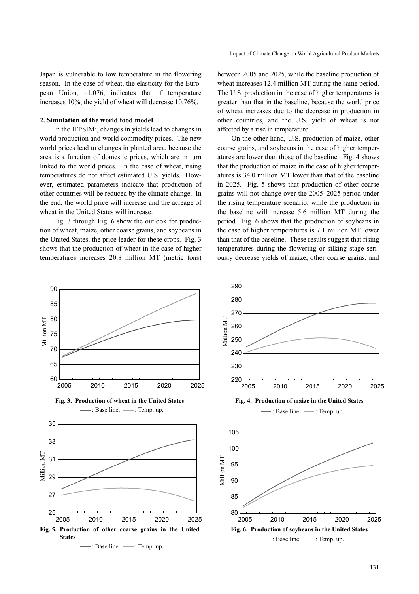Japan is vulnerable to low temperature in the flowering season. In the case of wheat, the elasticity for the European Union, –1.076, indicates that if temperature increases 10%, the yield of wheat will decrease 10.76%.

#### **2. Simulation of the world food model**

In the IFPSIM<sup>7</sup>, changes in yields lead to changes in world production and world commodity prices. The new world prices lead to changes in planted area, because the area is a function of domestic prices, which are in turn linked to the world prices. In the case of wheat, rising temperatures do not affect estimated U.S. yields. However, estimated parameters indicate that production of other countries will be reduced by the climate change. In the end, the world price will increase and the acreage of wheat in the United States will increase.

Fig. 3 through Fig. 6 show the outlook for production of wheat, maize, other coarse grains, and soybeans in the United States, the price leader for these crops. Fig. 3 shows that the production of wheat in the case of higher temperatures increases 20.8 million MT (metric tons) between 2005 and 2025, while the baseline production of wheat increases 12.4 million MT during the same period. The U.S. production in the case of higher temperatures is greater than that in the baseline, because the world price of wheat increases due to the decrease in production in other countries, and the U.S. yield of wheat is not affected by a rise in temperature.

On the other hand, U.S. production of maize, other coarse grains, and soybeans in the case of higher temperatures are lower than those of the baseline. Fig. 4 shows that the production of maize in the case of higher temperatures is 34.0 million MT lower than that of the baseline in 2025. Fig. 5 shows that production of other coarse grains will not change over the 2005–2025 period under the rising temperature scenario, while the production in the baseline will increase 5.6 million MT during the period. Fig. 6 shows that the production of soybeans in the case of higher temperatures is 7.1 million MT lower than that of the baseline. These results suggest that rising temperatures during the flowering or silking stage seriously decrease yields of maize, other coarse grains, and

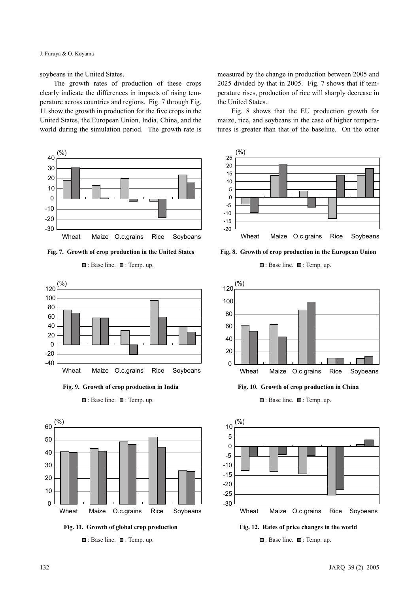J. Furuya & O. Koyama

soybeans in the United States.

The growth rates of production of these crops clearly indicate the differences in impacts of rising temperature across countries and regions. Fig. 7 through Fig. 11 show the growth in production for the five crops in the United States, the European Union, India, China, and the world during the simulation period. The growth rate is



**Fig. 7. Growth of crop production in the United States**

 $\blacksquare$ : Base line.  $\blacksquare$ : Temp. up.









**Fig. 11. Growth of global crop production**

**□**: Base line. ■: Temp. up.

measured by the change in production between 2005 and 2025 divided by that in 2005. Fig. 7 shows that if temperature rises, production of rice will sharply decrease in the United States.

Fig. 8 shows that the EU production growth for maize, rice, and soybeans in the case of higher temperatures is greater than that of the baseline. On the other



**Fig. 8. Growth of crop production in the European Union**

 $\blacksquare$ : Base line.  $\blacksquare$ : Temp. up.



**Fig. 10. Growth of crop production in China**

 $\Box$ : Base line.  $\Box$ : Temp. up.



**Fig. 12. Rates of price changes in the world**

 $\blacksquare$ : Base line.  $\blacksquare$ : Temp. up.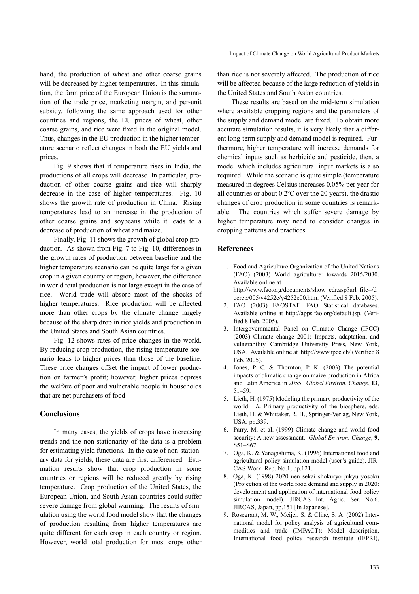hand, the production of wheat and other coarse grains will be decreased by higher temperatures. In this simulation, the farm price of the European Union is the summation of the trade price, marketing margin, and per-unit subsidy, following the same approach used for other countries and regions, the EU prices of wheat, other coarse grains, and rice were fixed in the original model. Thus, changes in the EU production in the higher temperature scenario reflect changes in both the EU yields and prices.

Fig. 9 shows that if temperature rises in India, the productions of all crops will decrease. In particular, production of other coarse grains and rice will sharply decrease in the case of higher temperatures. Fig. 10 shows the growth rate of production in China. Rising temperatures lead to an increase in the production of other coarse grains and soybeans while it leads to a decrease of production of wheat and maize.

Finally, Fig. 11 shows the growth of global crop production. As shown from Fig. 7 to Fig. 10, differences in the growth rates of production between baseline and the higher temperature scenario can be quite large for a given crop in a given country or region, however, the difference in world total production is not large except in the case of rice. World trade will absorb most of the shocks of higher temperatures. Rice production will be affected more than other crops by the climate change largely because of the sharp drop in rice yields and production in the United States and South Asian countries.

Fig. 12 shows rates of price changes in the world. By reducing crop production, the rising temperature scenario leads to higher prices than those of the baseline. These price changes offset the impact of lower production on farmer's profit; however, higher prices depress the welfare of poor and vulnerable people in households that are net purchasers of food.

# **Conclusions**

In many cases, the yields of crops have increasing trends and the non-stationarity of the data is a problem for estimating yield functions. In the case of non-stationary data for yields, these data are first differenced. Estimation results show that crop production in some countries or regions will be reduced greatly by rising temperature. Crop production of the United States, the European Union, and South Asian countries could suffer severe damage from global warming. The results of simulation using the world food model show that the changes of production resulting from higher temperatures are quite different for each crop in each country or region. However, world total production for most crops other than rice is not severely affected. The production of rice will be affected because of the large reduction of yields in the United States and South Asian countries.

These results are based on the mid-term simulation where available cropping regions and the parameters of the supply and demand model are fixed. To obtain more accurate simulation results, it is very likely that a different long-term supply and demand model is required. Furthermore, higher temperature will increase demands for chemical inputs such as herbicide and pesticide, then, a model which includes agricultural input markets is also required. While the scenario is quite simple (temperature measured in degrees Celsius increases 0.05% per year for all countries or about 0.2ºC over the 20 years), the drastic changes of crop production in some countries is remarkable. The countries which suffer severe damage by higher temperature may need to consider changes in cropping patterns and practices.

# **References**

- 1. Food and Agriculture Organization of the United Nations (FAO) (2003) World agriculture: towards 2015/2030. Available online at http://www.fao.org/documents/show\_cdr.asp?url\_file=/d ocrep/005/y4252e/y4252e00.htm. (Verified 8 Feb. 2005).
- 2. FAO (2003) FAOSTAT: FAO Statistical databases. Available online at http://apps.fao.org/default.jsp. (Verified 8 Feb. 2005).
- 3. Intergovernmental Panel on Climatic Change (IPCC) (2003) Climate change 2001: Impacts, adaptation, and vulnerability. Cambridge University Press, New York, USA. Available online at http://www.ipcc.ch/ (Verified 8 Feb. 2005).
- 4. Jones, P. G. & Thornton, P. K. (2003) The potential impacts of climatic change on maize production in Africa and Latin America in 2055. *Global Environ. Change*, **13**, 51–59.
- 5. Lieth, H. (1975) Modeling the primary productivity of the world. *In* Primary productivity of the biosphere, eds. Lieth, H. & Whittaker, R. H., Springer-Verlag, New York, USA, pp.339.
- 6. Parry, M. et al. (1999) Climate change and world food security: A new assessment. *Global Environ. Change*, **9**, S51–S67.
- 7. Oga, K. & Yanagishima, K. (1996) International food and agricultural policy simulation model (user's guide). JIR-CAS Work. Rep. No.1, pp.121.
- 8. Oga, K. (1998) 2020 nen sekai shokuryo jukyu yosoku (Projection of the world food demand and supply in 2020: development and application of international food policy simulation model). JIRCAS Int. Agric. Ser. No.6. JIRCAS, Japan, pp.151 [In Japanese].
- 9. Rosegrant, M. W., Meijer, S. & Cline, S. A. (2002) International model for policy analysis of agricultural commodities and trade (IMPACT): Model description, International food policy research institute (IFPRI),